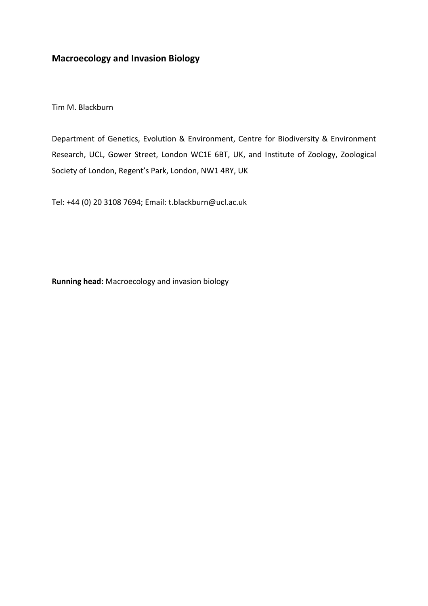# **Macroecology and Invasion Biology**

Tim M. Blackburn

Department of Genetics, Evolution & Environment, Centre for Biodiversity & Environment Research, UCL, Gower Street, London WC1E 6BT, UK, and Institute of Zoology, Zoological Society of London, Regent's Park, London, NW1 4RY, UK

Tel: +44 (0) 20 3108 7694; Email: [t.blackburn@ucl.ac.uk](mailto:t.blackburn@ucl.ac.uk)

**Running head:** Macroecology and invasion biology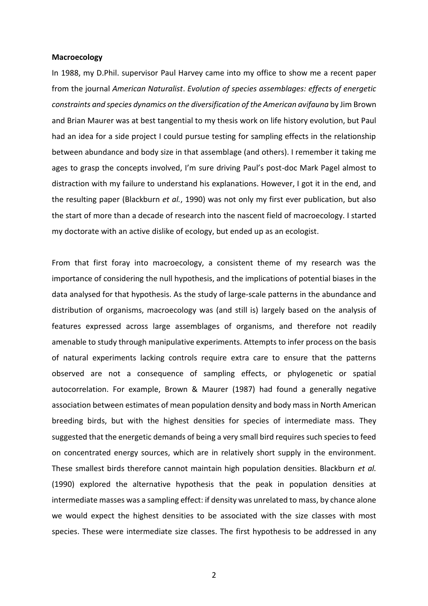#### **Macroecology**

In 1988, my D.Phil. supervisor Paul Harvey came into my office to show me a recent paper from the journal *American Naturalist*. *Evolution of species assemblages: effects of energetic constraints and species dynamics on the diversification of the American avifauna* by Jim Brown and Brian Maurer was at best tangential to my thesis work on life history evolution, but Paul had an idea for a side project I could pursue testing for sampling effects in the relationship between abundance and body size in that assemblage (and others). I remember it taking me ages to grasp the concepts involved, I'm sure driving Paul's post-doc Mark Pagel almost to distraction with my failure to understand his explanations. However, I got it in the end, and the resulting paper (Blackburn *et al.*, 1990) was not only my first ever publication, but also the start of more than a decade of research into the nascent field of macroecology. I started my doctorate with an active dislike of ecology, but ended up as an ecologist.

From that first foray into macroecology, a consistent theme of my research was the importance of considering the null hypothesis, and the implications of potential biases in the data analysed for that hypothesis. As the study of large-scale patterns in the abundance and distribution of organisms, macroecology was (and still is) largely based on the analysis of features expressed across large assemblages of organisms, and therefore not readily amenable to study through manipulative experiments. Attempts to infer process on the basis of natural experiments lacking controls require extra care to ensure that the patterns observed are not a consequence of sampling effects, or phylogenetic or spatial autocorrelation. For example, Brown & Maurer (1987) had found a generally negative association between estimates of mean population density and body mass in North American breeding birds, but with the highest densities for species of intermediate mass. They suggested that the energetic demands of being a very small bird requires such species to feed on concentrated energy sources, which are in relatively short supply in the environment. These smallest birds therefore cannot maintain high population densities. Blackburn *et al.* (1990) explored the alternative hypothesis that the peak in population densities at intermediate masses was a sampling effect: if density was unrelated to mass, by chance alone we would expect the highest densities to be associated with the size classes with most species. These were intermediate size classes. The first hypothesis to be addressed in any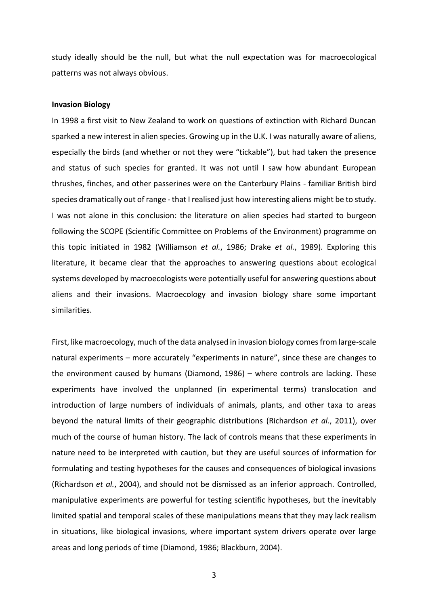study ideally should be the null, but what the null expectation was for macroecological patterns was not always obvious.

### **Invasion Biology**

In 1998 a first visit to New Zealand to work on questions of extinction with Richard Duncan sparked a new interest in alien species. Growing up in the U.K. I was naturally aware of aliens, especially the birds (and whether or not they were "tickable"), but had taken the presence and status of such species for granted. It was not until I saw how abundant European thrushes, finches, and other passerines were on the Canterbury Plains - familiar British bird species dramatically out of range - that I realised just how interesting aliens might be to study. I was not alone in this conclusion: the literature on alien species had started to burgeon following the SCOPE (Scientific Committee on Problems of the Environment) programme on this topic initiated in 1982 (Williamson *et al.*, 1986; Drake *et al.*, 1989). Exploring this literature, it became clear that the approaches to answering questions about ecological systems developed by macroecologists were potentially useful for answering questions about aliens and their invasions. Macroecology and invasion biology share some important similarities.

First, like macroecology, much of the data analysed in invasion biology comes from large-scale natural experiments – more accurately "experiments in nature", since these are changes to the environment caused by humans (Diamond, 1986) – where controls are lacking. These experiments have involved the unplanned (in experimental terms) translocation and introduction of large numbers of individuals of animals, plants, and other taxa to areas beyond the natural limits of their geographic distributions (Richardson *et al.*, 2011), over much of the course of human history. The lack of controls means that these experiments in nature need to be interpreted with caution, but they are useful sources of information for formulating and testing hypotheses for the causes and consequences of biological invasions (Richardson *et al.*, 2004), and should not be dismissed as an inferior approach. Controlled, manipulative experiments are powerful for testing scientific hypotheses, but the inevitably limited spatial and temporal scales of these manipulations means that they may lack realism in situations, like biological invasions, where important system drivers operate over large areas and long periods of time (Diamond, 1986; Blackburn, 2004).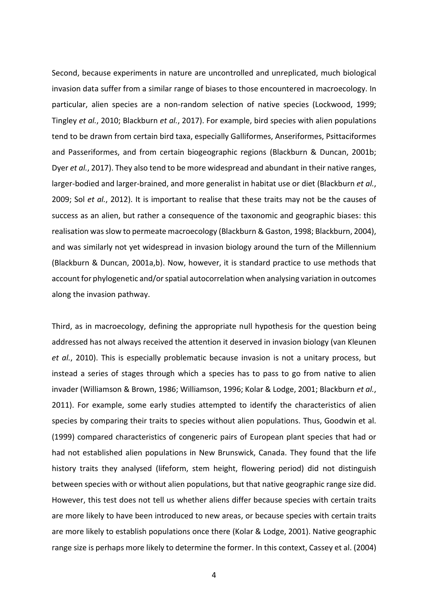Second, because experiments in nature are uncontrolled and unreplicated, much biological invasion data suffer from a similar range of biases to those encountered in macroecology. In particular, alien species are a non-random selection of native species (Lockwood, 1999; Tingley *et al.*, 2010; Blackburn *et al.*, 2017). For example, bird species with alien populations tend to be drawn from certain bird taxa, especially Galliformes, Anseriformes, Psittaciformes and Passeriformes, and from certain biogeographic regions (Blackburn & Duncan, 2001b; Dyer *et al.*, 2017). They also tend to be more widespread and abundant in their native ranges, larger-bodied and larger-brained, and more generalist in habitat use or diet (Blackburn *et al.*, 2009; Sol *et al.*, 2012). It is important to realise that these traits may not be the causes of success as an alien, but rather a consequence of the taxonomic and geographic biases: this realisation was slow to permeate macroecology (Blackburn & Gaston, 1998; Blackburn, 2004), and was similarly not yet widespread in invasion biology around the turn of the Millennium (Blackburn & Duncan, 2001a,b). Now, however, it is standard practice to use methods that account for phylogenetic and/or spatial autocorrelation when analysing variation in outcomes along the invasion pathway.

Third, as in macroecology, defining the appropriate null hypothesis for the question being addressed has not always received the attention it deserved in invasion biology (van Kleunen *et al.*, 2010). This is especially problematic because invasion is not a unitary process, but instead a series of stages through which a species has to pass to go from native to alien invader (Williamson & Brown, 1986; Williamson, 1996; Kolar & Lodge, 2001; Blackburn *et al.*, 2011). For example, some early studies attempted to identify the characteristics of alien species by comparing their traits to species without alien populations. Thus, Goodwin et al. (1999) compared characteristics of congeneric pairs of European plant species that had or had not established alien populations in New Brunswick, Canada. They found that the life history traits they analysed (lifeform, stem height, flowering period) did not distinguish between species with or without alien populations, but that native geographic range size did. However, this test does not tell us whether aliens differ because species with certain traits are more likely to have been introduced to new areas, or because species with certain traits are more likely to establish populations once there (Kolar & Lodge, 2001). Native geographic range size is perhaps more likely to determine the former. In this context, Cassey et al. (2004)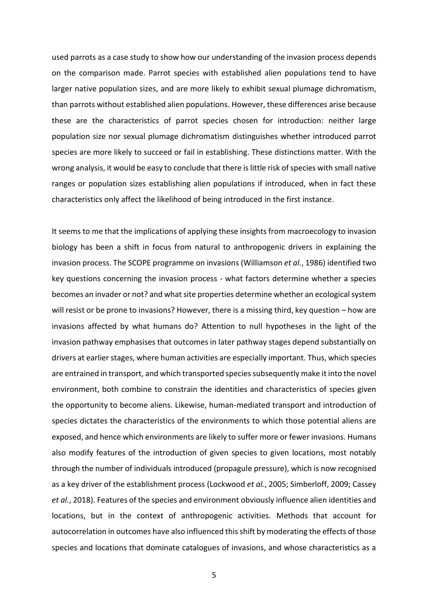used parrots as a case study to show how our understanding of the invasion process depends on the comparison made. Parrot species with established alien populations tend to have larger native population sizes, and are more likely to exhibit sexual plumage dichromatism, than parrots without established alien populations. However, these differences arise because these are the characteristics of parrot species chosen for introduction: neither large population size nor sexual plumage dichromatism distinguishes whether introduced parrot species are more likely to succeed or fail in establishing. These distinctions matter. With the wrong analysis, it would be easy to conclude that there is little risk of species with small native ranges or population sizes establishing alien populations if introduced, when in fact these characteristics only affect the likelihood of being introduced in the first instance.

It seems to me that the implications of applying these insights from macroecology to invasion biology has been a shift in focus from natural to anthropogenic drivers in explaining the invasion process. The SCOPE programme on invasions (Williamson *et al.*, 1986) identified two key questions concerning the invasion process - what factors determine whether a species becomes an invader or not? and what site properties determine whether an ecological system will resist or be prone to invasions? However, there is a missing third, key question – how are invasions affected by what humans do? Attention to null hypotheses in the light of the invasion pathway emphasises that outcomes in later pathway stages depend substantially on drivers at earlier stages, where human activities are especially important. Thus, which species are entrained in transport, and which transported species subsequently make it into the novel environment, both combine to constrain the identities and characteristics of species given the opportunity to become aliens. Likewise, human-mediated transport and introduction of species dictates the characteristics of the environments to which those potential aliens are exposed, and hence which environments are likely to suffer more or fewer invasions. Humans also modify features of the introduction of given species to given locations, most notably through the number of individuals introduced (propagule pressure), which is now recognised as a key driver of the establishment process (Lockwood *et al.*, 2005; Simberloff, 2009; Cassey *et al.*, 2018). Features of the species and environment obviously influence alien identities and locations, but in the context of anthropogenic activities. Methods that account for autocorrelation in outcomes have also influenced this shift by moderating the effects of those species and locations that dominate catalogues of invasions, and whose characteristics as a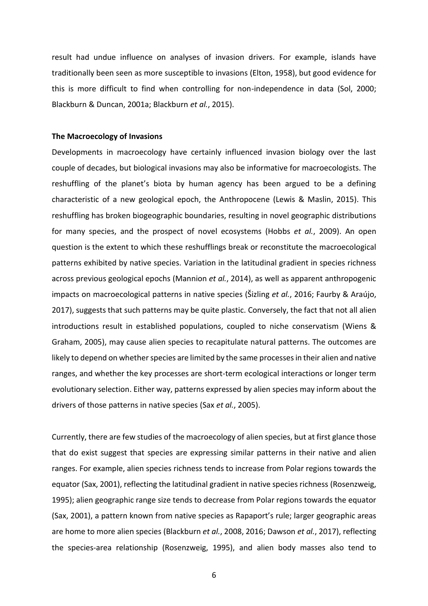result had undue influence on analyses of invasion drivers. For example, islands have traditionally been seen as more susceptible to invasions (Elton, 1958), but good evidence for this is more difficult to find when controlling for non-independence in data (Sol, 2000; Blackburn & Duncan, 2001a; Blackburn *et al.*, 2015).

### **The Macroecology of Invasions**

Developments in macroecology have certainly influenced invasion biology over the last couple of decades, but biological invasions may also be informative for macroecologists. The reshuffling of the planet's biota by human agency has been argued to be a defining characteristic of a new geological epoch, the Anthropocene (Lewis & Maslin, 2015). This reshuffling has broken biogeographic boundaries, resulting in novel geographic distributions for many species, and the prospect of novel ecosystems (Hobbs *et al.*, 2009). An open question is the extent to which these reshufflings break or reconstitute the macroecological patterns exhibited by native species. Variation in the latitudinal gradient in species richness across previous geological epochs (Mannion *et al.*, 2014), as well as apparent anthropogenic impacts on macroecological patterns in native species (Šizling *et al.*, 2016; Faurby & Araújo, 2017), suggests that such patterns may be quite plastic. Conversely, the fact that not all alien introductions result in established populations, coupled to niche conservatism (Wiens & Graham, 2005), may cause alien species to recapitulate natural patterns. The outcomes are likely to depend on whether species are limited by the same processes in their alien and native ranges, and whether the key processes are short-term ecological interactions or longer term evolutionary selection. Either way, patterns expressed by alien species may inform about the drivers of those patterns in native species (Sax *et al.*, 2005).

Currently, there are few studies of the macroecology of alien species, but at first glance those that do exist suggest that species are expressing similar patterns in their native and alien ranges. For example, alien species richness tends to increase from Polar regions towards the equator (Sax, 2001), reflecting the latitudinal gradient in native species richness (Rosenzweig, 1995); alien geographic range size tends to decrease from Polar regions towards the equator (Sax, 2001), a pattern known from native species as Rapaport's rule; larger geographic areas are home to more alien species (Blackburn *et al.*, 2008, 2016; Dawson *et al.*, 2017), reflecting the species-area relationship (Rosenzweig, 1995), and alien body masses also tend to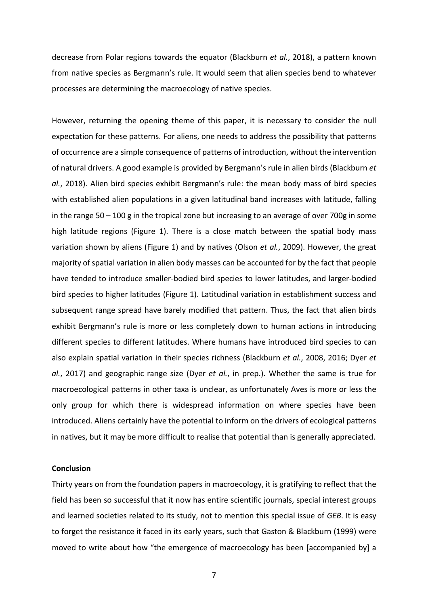decrease from Polar regions towards the equator (Blackburn *et al.*, 2018), a pattern known from native species as Bergmann's rule. It would seem that alien species bend to whatever processes are determining the macroecology of native species.

However, returning the opening theme of this paper, it is necessary to consider the null expectation for these patterns. For aliens, one needs to address the possibility that patterns of occurrence are a simple consequence of patterns of introduction, without the intervention of natural drivers. A good example is provided by Bergmann's rule in alien birds (Blackburn *et al.*, 2018). Alien bird species exhibit Bergmann's rule: the mean body mass of bird species with established alien populations in a given latitudinal band increases with latitude, falling in the range 50 – 100 g in the tropical zone but increasing to an average of over 700g in some high latitude regions (Figure 1). There is a close match between the spatial body mass variation shown by aliens (Figure 1) and by natives (Olson *et al.*, 2009). However, the great majority of spatial variation in alien body masses can be accounted for by the fact that people have tended to introduce smaller-bodied bird species to lower latitudes, and larger-bodied bird species to higher latitudes (Figure 1). Latitudinal variation in establishment success and subsequent range spread have barely modified that pattern. Thus, the fact that alien birds exhibit Bergmann's rule is more or less completely down to human actions in introducing different species to different latitudes. Where humans have introduced bird species to can also explain spatial variation in their species richness (Blackburn *et al.*, 2008, 2016; Dyer *et al.*, 2017) and geographic range size (Dyer *et al.*, in prep.). Whether the same is true for macroecological patterns in other taxa is unclear, as unfortunately Aves is more or less the only group for which there is widespread information on where species have been introduced. Aliens certainly have the potential to inform on the drivers of ecological patterns in natives, but it may be more difficult to realise that potential than is generally appreciated.

## **Conclusion**

Thirty years on from the foundation papers in macroecology, it is gratifying to reflect that the field has been so successful that it now has entire scientific journals, special interest groups and learned societies related to its study, not to mention this special issue of *GEB*. It is easy to forget the resistance it faced in its early years, such that Gaston & Blackburn (1999) were moved to write about how "the emergence of macroecology has been [accompanied by] a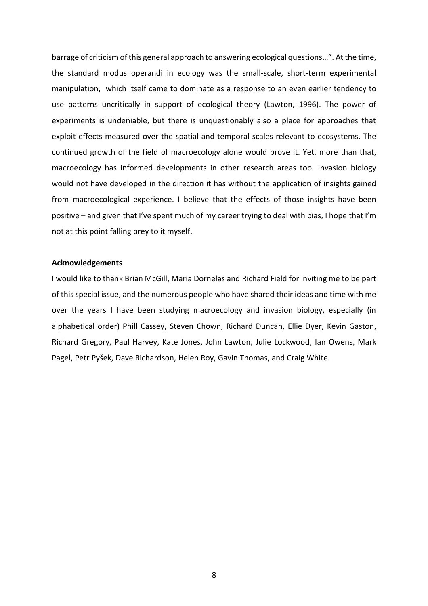barrage of criticism of this general approach to answering ecological questions…". At the time, the standard modus operandi in ecology was the small-scale, short-term experimental manipulation, which itself came to dominate as a response to an even earlier tendency to use patterns uncritically in support of ecological theory (Lawton, 1996). The power of experiments is undeniable, but there is unquestionably also a place for approaches that exploit effects measured over the spatial and temporal scales relevant to ecosystems. The continued growth of the field of macroecology alone would prove it. Yet, more than that, macroecology has informed developments in other research areas too. Invasion biology would not have developed in the direction it has without the application of insights gained from macroecological experience. I believe that the effects of those insights have been positive – and given that I've spent much of my career trying to deal with bias, I hope that I'm not at this point falling prey to it myself.

#### **Acknowledgements**

I would like to thank Brian McGill, Maria Dornelas and Richard Field for inviting me to be part of this special issue, and the numerous people who have shared their ideas and time with me over the years I have been studying macroecology and invasion biology, especially (in alphabetical order) Phill Cassey, Steven Chown, Richard Duncan, Ellie Dyer, Kevin Gaston, Richard Gregory, Paul Harvey, Kate Jones, John Lawton, Julie Lockwood, Ian Owens, Mark Pagel, Petr Pyšek, Dave Richardson, Helen Roy, Gavin Thomas, and Craig White.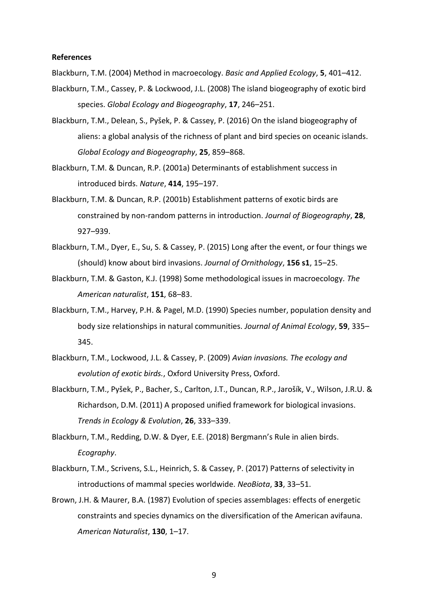## **References**

Blackburn, T.M. (2004) Method in macroecology. *Basic and Applied Ecology*, **5**, 401–412.

- Blackburn, T.M., Cassey, P. & Lockwood, J.L. (2008) The island biogeography of exotic bird species. *Global Ecology and Biogeography*, **17**, 246–251.
- Blackburn, T.M., Delean, S., Pyšek, P. & Cassey, P. (2016) On the island biogeography of aliens: a global analysis of the richness of plant and bird species on oceanic islands. *Global Ecology and Biogeography*, **25**, 859–868.
- Blackburn, T.M. & Duncan, R.P. (2001a) Determinants of establishment success in introduced birds. *Nature*, **414**, 195–197.
- Blackburn, T.M. & Duncan, R.P. (2001b) Establishment patterns of exotic birds are constrained by non-random patterns in introduction. *Journal of Biogeography*, **28**, 927–939.
- Blackburn, T.M., Dyer, E., Su, S. & Cassey, P. (2015) Long after the event, or four things we (should) know about bird invasions. *Journal of Ornithology*, **156 s1**, 15–25.
- Blackburn, T.M. & Gaston, K.J. (1998) Some methodological issues in macroecology. *The American naturalist*, **151**, 68–83.
- Blackburn, T.M., Harvey, P.H. & Pagel, M.D. (1990) Species number, population density and body size relationships in natural communities. *Journal of Animal Ecology*, **59**, 335– 345.
- Blackburn, T.M., Lockwood, J.L. & Cassey, P. (2009) *Avian invasions. The ecology and evolution of exotic birds.*, Oxford University Press, Oxford.
- Blackburn, T.M., Pyšek, P., Bacher, S., Carlton, J.T., Duncan, R.P., Jarošík, V., Wilson, J.R.U. & Richardson, D.M. (2011) A proposed unified framework for biological invasions. *Trends in Ecology & Evolution*, **26**, 333–339.
- Blackburn, T.M., Redding, D.W. & Dyer, E.E. (2018) Bergmann's Rule in alien birds. *Ecography*.
- Blackburn, T.M., Scrivens, S.L., Heinrich, S. & Cassey, P. (2017) Patterns of selectivity in introductions of mammal species worldwide. *NeoBiota*, **33**, 33–51.
- Brown, J.H. & Maurer, B.A. (1987) Evolution of species assemblages: effects of energetic constraints and species dynamics on the diversification of the American avifauna. *American Naturalist*, **130**, 1–17.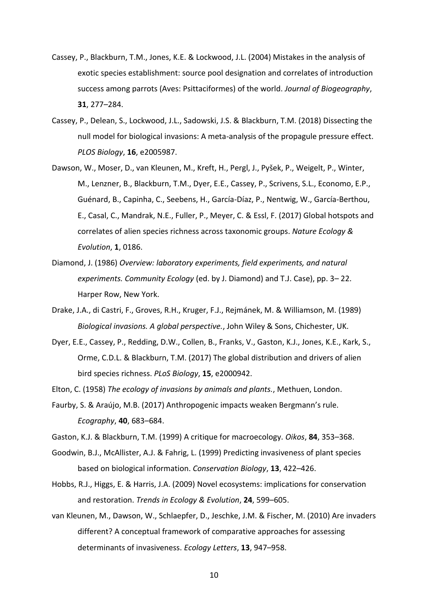- Cassey, P., Blackburn, T.M., Jones, K.E. & Lockwood, J.L. (2004) Mistakes in the analysis of exotic species establishment: source pool designation and correlates of introduction success among parrots (Aves: Psittaciformes) of the world. *Journal of Biogeography*, **31**, 277–284.
- Cassey, P., Delean, S., Lockwood, J.L., Sadowski, J.S. & Blackburn, T.M. (2018) Dissecting the null model for biological invasions: A meta-analysis of the propagule pressure effect. *PLOS Biology*, **16**, e2005987.
- Dawson, W., Moser, D., van Kleunen, M., Kreft, H., Pergl, J., Pyšek, P., Weigelt, P., Winter, M., Lenzner, B., Blackburn, T.M., Dyer, E.E., Cassey, P., Scrivens, S.L., Economo, E.P., Guénard, B., Capinha, C., Seebens, H., García-Díaz, P., Nentwig, W., García-Berthou, E., Casal, C., Mandrak, N.E., Fuller, P., Meyer, C. & Essl, F. (2017) Global hotspots and correlates of alien species richness across taxonomic groups. *Nature Ecology & Evolution*, **1**, 0186.
- Diamond, J. (1986) *Overview: laboratory experiments, field experiments, and natural experiments. Community Ecology* (ed. by J. Diamond) and T.J. Case), pp. 3– 22. Harper Row, New York.
- Drake, J.A., di Castri, F., Groves, R.H., Kruger, F.J., Rejmánek, M. & Williamson, M. (1989) *Biological invasions. A global perspective.*, John Wiley & Sons, Chichester, UK.
- Dyer, E.E., Cassey, P., Redding, D.W., Collen, B., Franks, V., Gaston, K.J., Jones, K.E., Kark, S., Orme, C.D.L. & Blackburn, T.M. (2017) The global distribution and drivers of alien bird species richness. *PLoS Biology*, **15**, e2000942.
- Elton, C. (1958) *The ecology of invasions by animals and plants.*, Methuen, London.
- Faurby, S. & Araújo, M.B. (2017) Anthropogenic impacts weaken Bergmann's rule. *Ecography*, **40**, 683–684.
- Gaston, K.J. & Blackburn, T.M. (1999) A critique for macroecology. *Oikos*, **84**, 353–368.
- Goodwin, B.J., McAllister, A.J. & Fahrig, L. (1999) Predicting invasiveness of plant species based on biological information. *Conservation Biology*, **13**, 422–426.
- Hobbs, R.J., Higgs, E. & Harris, J.A. (2009) Novel ecosystems: implications for conservation and restoration. *Trends in Ecology & Evolution*, **24**, 599–605.
- van Kleunen, M., Dawson, W., Schlaepfer, D., Jeschke, J.M. & Fischer, M. (2010) Are invaders different? A conceptual framework of comparative approaches for assessing determinants of invasiveness. *Ecology Letters*, **13**, 947–958.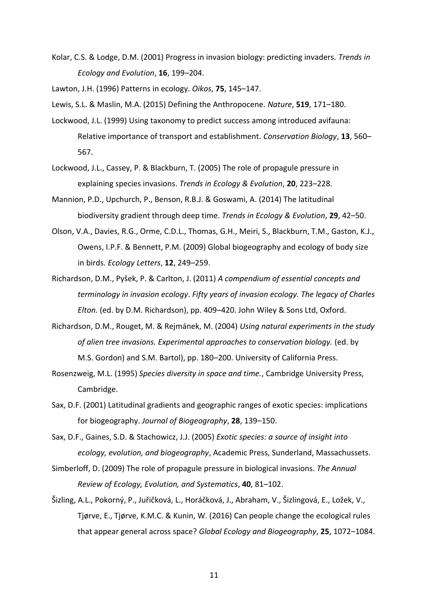Kolar, C.S. & Lodge, D.M. (2001) Progress in invasion biology: predicting invaders. *Trends in Ecology and Evolution*, **16**, 199–204.

Lawton, J.H. (1996) Patterns in ecology. *Oikos*, **75**, 145–147.

Lewis, S.L. & Maslin, M.A. (2015) Defining the Anthropocene. *Nature*, **519**, 171–180.

- Lockwood, J.L. (1999) Using taxonomy to predict success among introduced avifauna: Relative importance of transport and establishment. *Conservation Biology*, **13**, 560– 567.
- Lockwood, J.L., Cassey, P. & Blackburn, T. (2005) The role of propagule pressure in explaining species invasions. *Trends in Ecology & Evolution*, **20**, 223–228.
- Mannion, P.D., Upchurch, P., Benson, R.B.J. & Goswami, A. (2014) The latitudinal biodiversity gradient through deep time. *Trends in Ecology & Evolution*, **29**, 42–50.
- Olson, V.A., Davies, R.G., Orme, C.D.L., Thomas, G.H., Meiri, S., Blackburn, T.M., Gaston, K.J., Owens, I.P.F. & Bennett, P.M. (2009) Global biogeography and ecology of body size in birds. *Ecology Letters*, **12**, 249–259.
- Richardson, D.M., Pyšek, P. & Carlton, J. (2011) *A compendium of essential concepts and terminology in invasion ecology*. *Fifty years of invasion ecology. The legacy of Charles Elton.* (ed. by D.M. Richardson), pp. 409–420. John Wiley & Sons Ltd, Oxford.
- Richardson, D.M., Rouget, M. & Rejmánek, M. (2004) *Using natural experiments in the study of alien tree invasions. Experimental approaches to conservation biology.* (ed. by M.S. Gordon) and S.M. Bartol), pp. 180–200. University of California Press.
- Rosenzweig, M.L. (1995) *Species diversity in space and time.*, Cambridge University Press, Cambridge.
- Sax, D.F. (2001) Latitudinal gradients and geographic ranges of exotic species: implications for biogeography. *Journal of Biogeography*, **28**, 139–150.
- Sax, D.F., Gaines, S.D. & Stachowicz, J.J. (2005) *Exotic species: a source of insight into ecology, evolution, and biogeography*, Academic Press, Sunderland, Massachussets.
- Simberloff, D. (2009) The role of propagule pressure in biological invasions. *The Annual Review of Ecology, Evolution, and Systematics*, **40**, 81–102.
- Šizling, A.L., Pokorný, P., Juřičková, L., Horáčková, J., Abraham, V., Šizlingová, E., Ložek, V., Tjørve, E., Tjørve, K.M.C. & Kunin, W. (2016) Can people change the ecological rules that appear general across space? *Global Ecology and Biogeography*, **25**, 1072–1084.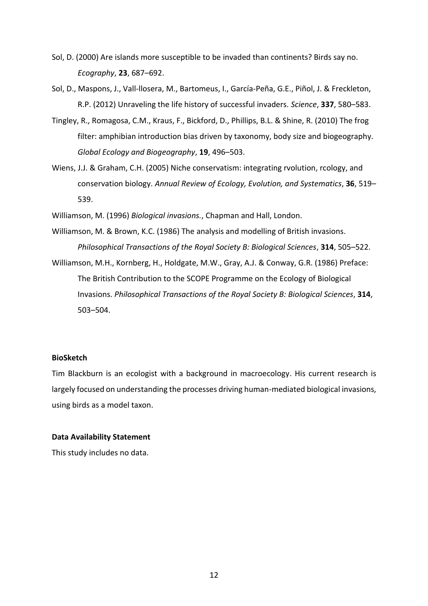- Sol, D. (2000) Are islands more susceptible to be invaded than continents? Birds say no. *Ecography*, **23**, 687–692.
- Sol, D., Maspons, J., Vall-llosera, M., Bartomeus, I., García-Peña, G.E., Piñol, J. & Freckleton, R.P. (2012) Unraveling the life history of successful invaders. *Science*, **337**, 580–583.
- Tingley, R., Romagosa, C.M., Kraus, F., Bickford, D., Phillips, B.L. & Shine, R. (2010) The frog filter: amphibian introduction bias driven by taxonomy, body size and biogeography. *Global Ecology and Biogeography*, **19**, 496–503.
- Wiens, J.J. & Graham, C.H. (2005) Niche conservatism: integrating rvolution, rcology, and conservation biology. *Annual Review of Ecology, Evolution, and Systematics*, **36**, 519– 539.
- Williamson, M. (1996) *Biological invasions.*, Chapman and Hall, London.
- Williamson, M. & Brown, K.C. (1986) The analysis and modelling of British invasions. *Philosophical Transactions of the Royal Society B: Biological Sciences*, **314**, 505–522.
- Williamson, M.H., Kornberg, H., Holdgate, M.W., Gray, A.J. & Conway, G.R. (1986) Preface: The British Contribution to the SCOPE Programme on the Ecology of Biological Invasions. *Philosophical Transactions of the Royal Society B: Biological Sciences*, **314**, 503–504.

## **BioSketch**

Tim Blackburn is an ecologist with a background in macroecology. His current research is largely focused on understanding the processes driving human-mediated biological invasions, using birds as a model taxon.

## **Data Availability Statement**

This study includes no data.